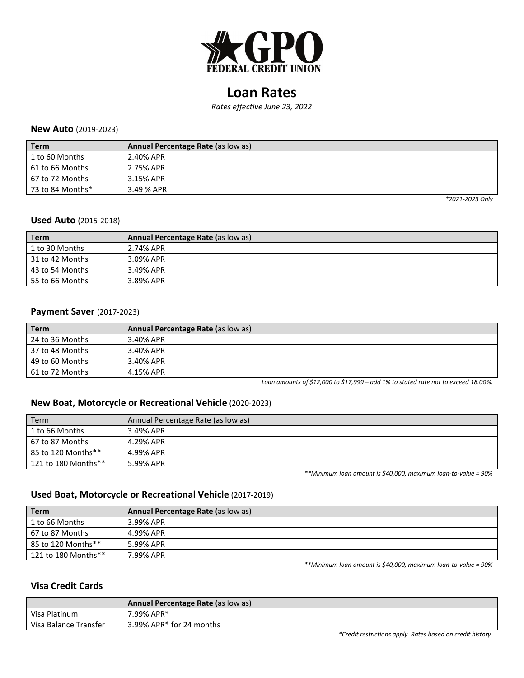

# **Loan Rates**

*Rates effective June 23, 2022*

#### **New Auto** (2019-2023)

| <b>Term</b>      | Annual Percentage Rate (as low as) |
|------------------|------------------------------------|
| 1 to 60 Months   | 2.40% APR                          |
| 61 to 66 Months  | 2.75% APR                          |
| 67 to 72 Months  | 3.15% APR                          |
| 73 to 84 Months* | 3.49 % APR                         |

*\*2021-2023 Only*

#### **Used Auto** (2015-2018)

| <b>Term</b>     | <b>Annual Percentage Rate (as low as)</b> |
|-----------------|-------------------------------------------|
| 1 to 30 Months  | 2.74% APR                                 |
| 31 to 42 Months | 3.09% APR                                 |
| 43 to 54 Months | 3.49% APR                                 |
| 55 to 66 Months | 3.89% APR                                 |

## **Payment Saver** (2017-2023)

| <b>Term</b>     | Annual Percentage Rate (as low as) |
|-----------------|------------------------------------|
| 24 to 36 Months | 3.40% APR                          |
| 37 to 48 Months | 3.40% APR                          |
| 49 to 60 Months | 3.40% APR                          |
| 61 to 72 Months | 4.15% APR                          |

*Loan amounts of \$12,000 to \$17,999 – add 1% to stated rate not to exceed 18.00%.*

### **New Boat, Motorcycle or Recreational Vehicle** (2020-2023)

| Term                | Annual Percentage Rate (as low as) |
|---------------------|------------------------------------|
| 1 to 66 Months      | 3.49% APR                          |
| 67 to 87 Months     | 4.29% APR                          |
| 85 to 120 Months**  | 4.99% APR                          |
| 121 to 180 Months** | 5.99% APR                          |

*\*\*Minimum loan amount is \$40,000, maximum loan-to-value = 90%*

# **Used Boat, Motorcycle or Recreational Vehicle** (2017-2019)

| <b>Term</b>         | Annual Percentage Rate (as low as) |
|---------------------|------------------------------------|
| 1 to 66 Months      | 3.99% APR                          |
| 67 to 87 Months     | 4.99% APR                          |
| 85 to 120 Months**  | 5.99% APR                          |
| 121 to 180 Months** | 7.99% APR                          |

*\*\*Minimum loan amount is \$40,000, maximum loan-to-value = 90%*

#### **Visa Credit Cards**

|                       | <b>Annual Percentage Rate (as low as)</b>                  |
|-----------------------|------------------------------------------------------------|
| Visa Platinum         | 7.99% APR*                                                 |
| Visa Balance Transfer | 3.99% APR* for 24 months                                   |
|                       | *Credit restrictions apply. Rates based on credit history. |